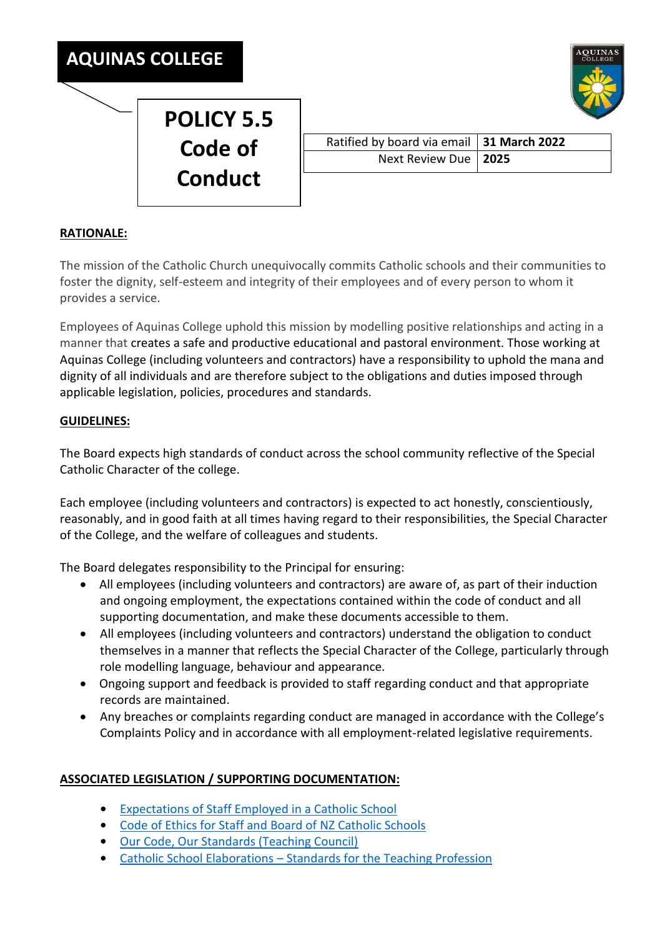

|  | <b>AQUINAS</b> |
|--|----------------|

## Ratified by board via email **31 March 2022** Next Review Due **2025**

## **RATIONALE:**

The mission of the Catholic Church unequivocally commits Catholic schools and their communities to foster the dignity, self-esteem and integrity of their employees and of every person to whom it provides a service.

Employees of Aquinas College uphold this mission by modelling positive relationships and acting in a manner that creates a safe and productive educational and pastoral environment. Those working at Aquinas College (including volunteers and contractors) have a responsibility to uphold the mana and dignity of all individuals and are therefore subject to the obligations and duties imposed through applicable legislation, policies, procedures and standards.

## **GUIDELINES:**

The Board expects high standards of conduct across the school community reflective of the Special Catholic Character of the college.

Each employee (including volunteers and contractors) is expected to act honestly, conscientiously, reasonably, and in good faith at all times having regard to their responsibilities, the Special Character of the College, and the welfare of colleagues and students.

The Board delegates responsibility to the Principal for ensuring:

- All employees (including volunteers and contractors) are aware of, as part of their induction and ongoing employment, the expectations contained within the code of conduct and all supporting documentation, and make these documents accessible to them.
- All employees (including volunteers and contractors) understand the obligation to conduct themselves in a manner that reflects the Special Character of the College, particularly through role modelling language, behaviour and appearance.
- Ongoing support and feedback is provided to staff regarding conduct and that appropriate records are maintained.
- Any breaches or complaints regarding conduct are managed in accordance with the College's Complaints Policy and in accordance with all employment-related legislative requirements.

## **ASSOCIATED LEGISLATION / SUPPORTING DOCUMENTATION:**

- **•** [Expectations of Staff Employed in a Catholic School](https://3qei1h3uyzy6q3aq23v0elk1-wpengine.netdna-ssl.com/wp-content/uploads/2019/09/Character-of-Catholic-School.pdf)
- **•** Code of Ethics [for Staff and Board of NZ Catholic Schools](https://www.nzceo.org.nz/resource-items/code-of-ethics/)
- **•** [Our Code, Our Standards \(Teaching Council\)](https://teachingcouncil.nz/sites/default/files/Our%20Code%20Our%20Standards%20web%20booklet%20FINAL.pdf)
- **•** Catholic School Elaborations [Standards for the Teaching Profession](https://www.nzceo.org.nz/catholic-elaborations-education-councils-standards-teaching-profession/)